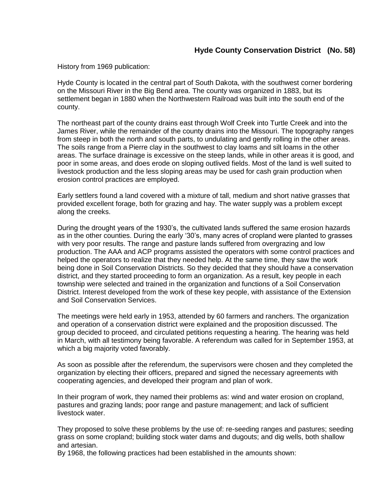History from 1969 publication:

Hyde County is located in the central part of South Dakota, with the southwest corner bordering on the Missouri River in the Big Bend area. The county was organized in 1883, but its settlement began in 1880 when the Northwestern Railroad was built into the south end of the county.

The northeast part of the county drains east through Wolf Creek into Turtle Creek and into the James River, while the remainder of the county drains into the Missouri. The topography ranges from steep in both the north and south parts, to undulating and gently rolling in the other areas. The soils range from a Pierre clay in the southwest to clay loams and silt loams in the other areas. The surface drainage is excessive on the steep lands, while in other areas it is good, and poor in some areas, and does erode on sloping outlived fields. Most of the land is well suited to livestock production and the less sloping areas may be used for cash grain production when erosion control practices are employed.

Early settlers found a land covered with a mixture of tall, medium and short native grasses that provided excellent forage, both for grazing and hay. The water supply was a problem except along the creeks.

During the drought years of the 1930's, the cultivated lands suffered the same erosion hazards as in the other counties. During the early '30's, many acres of cropland were planted to grasses with very poor results. The range and pasture lands suffered from overgrazing and low production. The AAA and ACP programs assisted the operators with some control practices and helped the operators to realize that they needed help. At the same time, they saw the work being done in Soil Conservation Districts. So they decided that they should have a conservation district, and they started proceeding to form an organization. As a result, key people in each township were selected and trained in the organization and functions of a Soil Conservation District. Interest developed from the work of these key people, with assistance of the Extension and Soil Conservation Services.

The meetings were held early in 1953, attended by 60 farmers and ranchers. The organization and operation of a conservation district were explained and the proposition discussed. The group decided to proceed, and circulated petitions requesting a hearing. The hearing was held in March, with all testimony being favorable. A referendum was called for in September 1953, at which a big majority voted favorably.

As soon as possible after the referendum, the supervisors were chosen and they completed the organization by electing their officers, prepared and signed the necessary agreements with cooperating agencies, and developed their program and plan of work.

In their program of work, they named their problems as: wind and water erosion on cropland, pastures and grazing lands; poor range and pasture management; and lack of sufficient livestock water.

They proposed to solve these problems by the use of: re-seeding ranges and pastures; seeding grass on some cropland; building stock water dams and dugouts; and dig wells, both shallow and artesian.

By 1968, the following practices had been established in the amounts shown: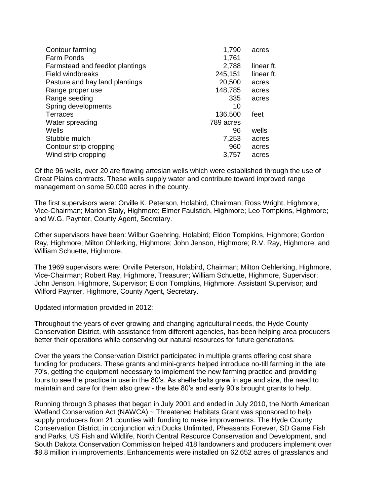| Contour farming                 | 1,790     | acres      |
|---------------------------------|-----------|------------|
| <b>Farm Ponds</b>               | 1,761     |            |
| Farmstead and feedlot plantings | 2,788     | linear ft. |
| <b>Field windbreaks</b>         | 245,151   | linear ft. |
| Pasture and hay land plantings  | 20,500    | acres      |
| Range proper use                | 148,785   | acres      |
| Range seeding                   | 335       | acres      |
| Spring developments             | 10        |            |
| <b>Terraces</b>                 | 136,500   | feet       |
| Water spreading                 | 789 acres |            |
| Wells                           | 96        | wells      |
| Stubble mulch                   | 7,253     | acres      |
| Contour strip cropping          | 960       | acres      |
| Wind strip cropping             | 3,757     | acres      |
|                                 |           |            |

Of the 96 wells, over 20 are flowing artesian wells which were established through the use of Great Plains contracts. These wells supply water and contribute toward improved range management on some 50,000 acres in the county.

The first supervisors were: Orville K. Peterson, Holabird, Chairman; Ross Wright, Highmore, Vice-Chairman; Marion Staly, Highmore; Elmer Faulstich, Highmore; Leo Tompkins, Highmore; and W.G. Paynter, County Agent, Secretary.

Other supervisors have been: Wilbur Goehring, Holabird; Eldon Tompkins, Highmore; Gordon Ray, Highmore; Milton Ohlerking, Highmore; John Jenson, Highmore; R.V. Ray, Highmore; and William Schuette, Highmore.

The 1969 supervisors were: Orville Peterson, Holabird, Chairman; Milton Oehlerking, Highmore, Vice-Chairman; Robert Ray, Highmore, Treasurer; William Schuette, Highmore, Supervisor; John Jenson, Highmore, Supervisor; Eldon Tompkins, Highmore, Assistant Supervisor; and Wilford Paynter, Highmore, County Agent, Secretary.

Updated information provided in 2012:

Throughout the years of ever growing and changing agricultural needs, the Hyde County Conservation District, with assistance from different agencies, has been helping area producers better their operations while conserving our natural resources for future generations.

Over the years the Conservation District participated in multiple grants offering cost share funding for producers. These grants and mini-grants helped introduce no-till farming in the late 70's, getting the equipment necessary to implement the new farming practice and providing tours to see the practice in use in the 80's. As shelterbelts grew in age and size, the need to maintain and care for them also grew - the late 80's and early 90's brought grants to help.

Running through 3 phases that began in July 2001 and ended in July 2010, the North American Wetland Conservation Act (NAWCA) ~ Threatened Habitats Grant was sponsored to help supply producers from 21 counties with funding to make improvements. The Hyde County Conservation District, in conjunction with Ducks Unlimited, Pheasants Forever, SD Game Fish and Parks, US Fish and Wildlife, North Central Resource Conservation and Development, and South Dakota Conservation Commission helped 418 landowners and producers implement over \$8.8 million in improvements. Enhancements were installed on 62,652 acres of grasslands and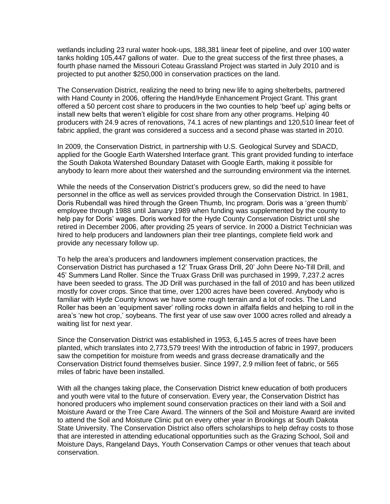wetlands including 23 rural water hook-ups, 188,381 linear feet of pipeline, and over 100 water tanks holding 105,447 gallons of water. Due to the great success of the first three phases, a fourth phase named the Missouri Coteau Grassland Project was started in July 2010 and is projected to put another \$250,000 in conservation practices on the land.

The Conservation District, realizing the need to bring new life to aging shelterbelts, partnered with Hand County in 2006, offering the Hand/Hyde Enhancement Project Grant. This grant offered a 50 percent cost share to producers in the two counties to help 'beef up' aging belts or install new belts that weren't eligible for cost share from any other programs. Helping 40 producers with 24.9 acres of renovations, 74.1 acres of new plantings and 120,510 linear feet of fabric applied, the grant was considered a success and a second phase was started in 2010.

In 2009, the Conservation District, in partnership with U.S. Geological Survey and SDACD, applied for the Google Earth Watershed Interface grant. This grant provided funding to interface the South Dakota Watershed Boundary Dataset with Google Earth, making it possible for anybody to learn more about their watershed and the surrounding environment via the internet.

While the needs of the Conservation District's producers grew, so did the need to have personnel in the office as well as services provided through the Conservation District. In 1981, Doris Rubendall was hired through the Green Thumb, Inc program. Doris was a 'green thumb' employee through 1988 until January 1989 when funding was supplemented by the county to help pay for Doris' wages. Doris worked for the Hyde County Conservation District until she retired in December 2006, after providing 25 years of service. In 2000 a District Technician was hired to help producers and landowners plan their tree plantings, complete field work and provide any necessary follow up.

To help the area's producers and landowners implement conservation practices, the Conservation District has purchased a 12' Truax Grass Drill, 20' John Deere No-Till Drill, and 45' Summers Land Roller. Since the Truax Grass Drill was purchased in 1999, 7,237.2 acres have been seeded to grass. The JD Drill was purchased in the fall of 2010 and has been utilized mostly for cover crops. Since that time, over 1200 acres have been covered. Anybody who is familiar with Hyde County knows we have some rough terrain and a lot of rocks. The Land Roller has been an 'equipment saver' rolling rocks down in alfalfa fields and helping to roll in the area's 'new hot crop,' soybeans. The first year of use saw over 1000 acres rolled and already a waiting list for next year.

Since the Conservation District was established in 1953, 6,145.5 acres of trees have been planted, which translates into 2,773,579 trees! With the introduction of fabric in 1997, producers saw the competition for moisture from weeds and grass decrease dramatically and the Conservation District found themselves busier. Since 1997, 2.9 million feet of fabric, or 565 miles of fabric have been installed.

With all the changes taking place, the Conservation District knew education of both producers and youth were vital to the future of conservation. Every year, the Conservation District has honored producers who implement sound conservation practices on their land with a Soil and Moisture Award or the Tree Care Award. The winners of the Soil and Moisture Award are invited to attend the Soil and Moisture Clinic put on every other year in Brookings at South Dakota State University. The Conservation District also offers scholarships to help defray costs to those that are interested in attending educational opportunities such as the Grazing School, Soil and Moisture Days, Rangeland Days, Youth Conservation Camps or other venues that teach about conservation.